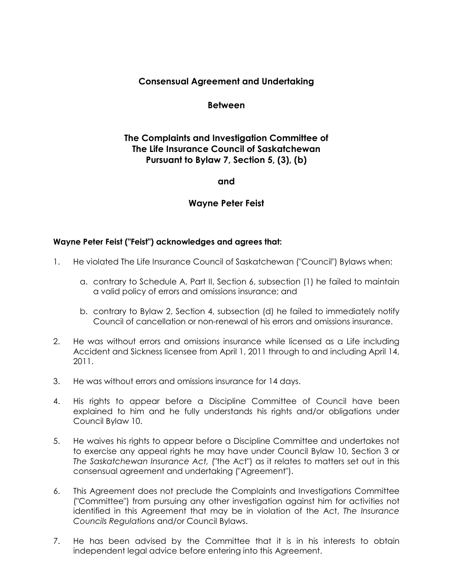## **Consensual Agreement and Undertaking**

#### **Between**

# **The Complaints and Investigation Committee of The Life Insurance Council of Saskatchewan Pursuant to Bylaw 7, Section 5, (3), (b)**

#### **and**

### **Wayne Peter Feist**

#### **Wayne Peter Feist ("Feist") acknowledges and agrees that:**

- 1. He violated The Life Insurance Council of Saskatchewan ("Council") Bylaws when:
	- a. contrary to Schedule A, Part II, Section 6, subsection (1) he failed to maintain a valid policy of errors and omissions insurance; and
	- b. contrary to Bylaw 2, Section 4, subsection (d) he failed to immediately notify Council of cancellation or non-renewal of his errors and omissions insurance.
- 2. He was without errors and omissions insurance while licensed as a Life including Accident and Sickness licensee from April 1, 2011 through to and including April 14, 2011.
- 3. He was without errors and omissions insurance for 14 days.
- 4. His rights to appear before a Discipline Committee of Council have been explained to him and he fully understands his rights and/or obligations under Council Bylaw 10.
- 5. He waives his rights to appear before a Discipline Committee and undertakes not to exercise any appeal rights he may have under Council Bylaw 10, Section 3 or *The Saskatchewan Insurance Act,* ("the Act") as it relates to matters set out in this consensual agreement and undertaking ("Agreement").
- 6. This Agreement does not preclude the Complaints and Investigations Committee ("Committee") from pursuing any other investigation against him for activities not identified in this Agreement that may be in violation of the Act, *The Insurance Councils Regulations* and/or Council Bylaws.
- 7. He has been advised by the Committee that it is in his interests to obtain independent legal advice before entering into this Agreement.